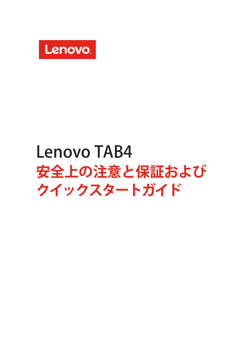

# Lenovo TAB4 **安全上の注意と保証および クイックスタートガイド**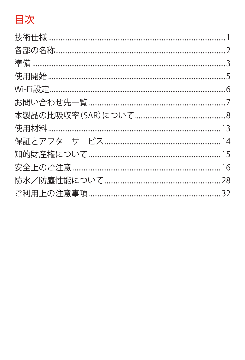# 目次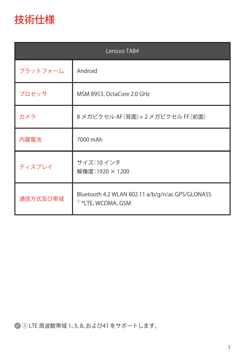<span id="page-2-0"></span>

| Lenovo TAB4 |                                                                                 |  |
|-------------|---------------------------------------------------------------------------------|--|
| プラットフォーム    | Android                                                                         |  |
| プロセッサ       | MSM 8953, OctaCore 2.0 GHz                                                      |  |
| カメラ         | 8メガピクセル AF (背面)+2メガピクセル FF (前面)                                                 |  |
| 内蔵電池        | 7000 mAh                                                                        |  |
| ディスプレイ      | サイズ:10インチ<br>解像度:1920 × 1200                                                    |  |
| 通信方式及び帯域    | Bluetooth 4.2 WLAN 802.11 a/b/g/n/ac GPS/GLONASS<br><sup>®</sup> *LTE、WCDMA、GSM |  |

① LTE 周波数帯域 1、3、8、および41 をサポートします。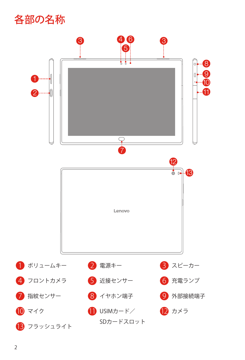# <span id="page-3-0"></span>各部の名称

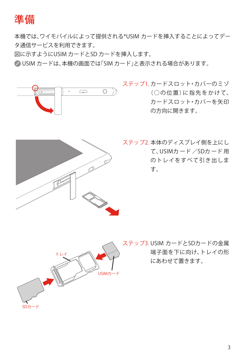# <span id="page-4-1"></span><span id="page-4-0"></span>準備

本機では、ワイモバイルによって提供される\*USIM カードを挿入することによってデー タ通信サービスを利用できます。

図に示すようにUSIM カードとSD カードを挿入します。

● USIM カードは、本機の画面では「SIM カード」と表示される場合があります。



ステップ1. カードスロット・カバーのミゾ (○の位置)に指先をかけて、 カードスロット・カバーを矢印 の方向に開きます。



ステップ2. 本体のディスプレイ側を上にし て、USIMカ ード /SDカ ード 用 のトレイをすべて引き出しま す。



ステップ3. USIM カードとSDカードの金属 端子面を下に向け、トレイの形 にあわせて置きます。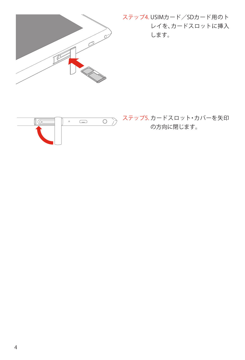

ステップ4. USIMカード/SDカード用のト レイを、カードスロットに挿入 します。

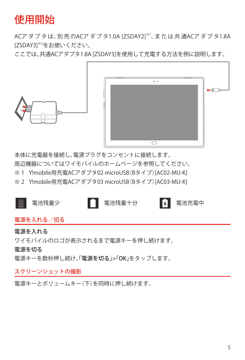# <span id="page-6-0"></span>使用開始

ACア ダ プ タ は、別 売 のACア ダ プ タ1.0A [ZSDAY2]※1、ま た は 共 通ACア ダ プ タ1.8A [ZSDAY3]※2をお使いください。

ここでは、共通ACアダプタ1.8A [ZSDAY3]を使用して充電する方法を例に説明します。



本体に充電器を接続し、電源プラグをコンセントに接続します。 周辺機器についてはワイモバイルのホームページを参照してください。 ※ 1 Y!mobile用充電ACアダプタ02 microUSB (Bタイプ) [AC02-MU-K] ※ 2 Y!mobile用充電ACアダプタ03 microUSB (Bタイプ) [AC03-MU-K]



#### 電源を入れる/切る

#### 電源を入れる

ワイモバイルのロゴが表示されるまで電源キーを押し続けます。

電源を切る

電源キーを数秒押し続け、「電源を切る」>「OK」をタップします。

スクリーンショットの撮影

電源キーとボリュームキー(下)を同時に押し続けます。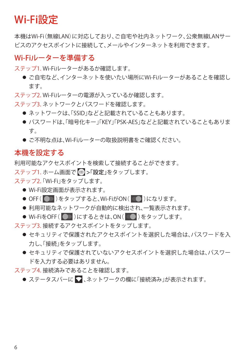# <span id="page-7-0"></span>Wi-Fi設定

本機はWi-Fi(無線LAN)に対応しており、ご自宅や社内ネットワーク、公衆無線LANサー ビスのアクセスポイントに接続して、メールやインターネットを利用できます。

### Wi-Fiルーターを準備する

ステップ1.Wi-Fiルーターがあるか確認します。

● ご自宅など、インターネットを使いたい場所にWi-Fiルーターがあることを確認し ます。

ステップ2.Wi-Fiルーターの電源が入っているか確認します。

ステップ3. ネットワークとパスワードを確認します。

- ネットワークは、「SSID」などと記載されていることもあります。
- パスワードは、「暗号化キー」「KEY」「PSK-AES」などと記載されていることもありま す。
- ご不明な点は、Wi-Fiルーターの取扱説明書をご確認ください。

## 本機を設定する

利用可能なアクセスポイントを検索して接続することができます。

ステップ1.ホーム画面で … >「設定」をタップします。

ステップ2.「Wi-Fi」をタップします。

- Wi-Fi設定画面が表示されます。
- OFF( )をタップすると、Wi-FiがON( )になります。
- 利用可能なネットワークが自動的に検出され、一覧表示されます。
- Wi-FiをOFF( )にするときは、ON( )をタップします。

ステップ3.接続するアクセスポイントをタップします。

- セキュリティで保護されたアクセスポイントを選択した場合は、パスワードを入 力し、「接続」をタップします。
- セキュリティで保護されていないアクセスポイントを選択した場合は、パスワー ドを入力する必要はありません。

ステップ4.接続済みであることを確認します。

● ステータスバーに ■、ネットワークの欄に「接続済み」が表示されます。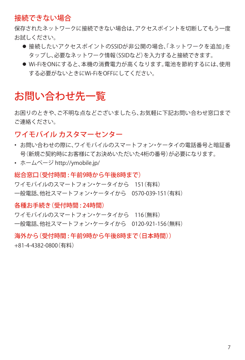## <span id="page-8-0"></span>接続できない場合

保存されたネットワークに接続できない場合は、アクセスポイントを切断してもう一度 お試しください。

- ●接続したいアクセスポイントのSSIDが非公開の場合、「ネットワークを追加」を タップし、必要なネットワーク情報(SSIDなど)を入力すると接続できます。
- Wi-FiをONにすると、本機の消費雷力が高くなります。雷池を節約するには、使用 する必要がないときにWi-FiをOFFにしてください。

# <span id="page-8-1"></span>お問い合わせ先一覧

お困りのときや、ご不明な点などでざいましたら、お気軽に下記お問い合わせ窓口まで ご連絡ください。

## ワイモバイル カスタマーセンター

- お問い合わせの際に、ワイモバイルのスマートフォン・ケータイの電話番号と暗証番 号(新規ご契約時にお客様にてお決めいただいた4桁の番号)が必要になります。
- ホームページ http://ymobile.jp/

#### 総合窓口(受付時間 : 午前9時から午後8時まで)

ワイモバイルのスマートフォン・ケータイから 151(有料) 一般電話、他社スマートフォン・ケータイから 0570-039-151(有料)

#### 各種お手続き(受付時間 : 24時間)

ワイモバイルのスマートフォン・ケータイから 116(無料) 一般電話、他社スマートフォン・ケータイから 0120-921-156(無料)

### 海外から(受付時間 : 午前9時から午後8時まで(日本時間)) +81-4-4382-0800(有料)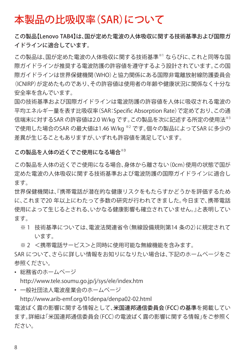# <span id="page-9-0"></span>本製品の比吸収率(SAR)について

この製品【Lenovo TAB4】は、国が定めた電波の人体吸収に関する技術基準および国際ガ イドラインに適合しています。

この製品は、国が定めた電波の人体吸収に関する技術基準※1 ならびに、これと同等な国 際ガイドラインが推奨する電波防護の許容値を遵守するよう設計されています。この国 際ガイドラインは世界保健機関(WHO)と協力関係にある国際非電離放射線防護委員会 (ICNIRP)が定めたものであり、その許容値は使用者の年齢や健康状況に関係なく十分な 安全率を含んでいます。

国の技術基準および国際ガイドラインは電波防護の許容値を人体に吸収される電波の 平均エネルギー量を表す比吸収率(SAR:Specific Absorption Rate)で定めており、この通 信端末に対するSAR の許容値は2.0 W/kg です。この製品を次に記述する所定の使用法<sup>※3</sup> で使用した場合のSAR の最大値は1.46 W/kg ※2 です。個々の製品によってSAR に多少の 差異が生じることもありますが、いずれも許容値を満足しています。

この製品を人体の近くでご使用になる場合※3

この製品を人体の近くでご使用になる場合、身体から離さない(0cm)使用の状態で国が 定めた電波の人体吸収に関する技術基準および電波防護の国際ガイドラインに適合し ます。

世界保健機関は、『携帯電話が潜在的な健康リスクをもたらすかどうかを評価するため に、これまで20 年以上にわたって多数の研究が行われてきました。今日まで、携帯電話 使用によって生じるとされる、いかなる健康影響も確立されていません。』と表明してい ます。

- ※ 1 技術基準については、電波法関連省令(無線設備規則第14 条の2)に規定されて います。
- ※ 2 <携帯電話サービス>と同時に使用可能な無線機能を含みます。

SAR について、さらに詳しい情報をお知りになりたい場合は、下記のホームページをご 参照ください。

• 総務省のホームページ

http://www.tele.soumu.go.jp/j/sys/ele/index.htm

• 一般社団法人電波産業会のホームページ

http://www.arib-emf.org/01denpa/denpa02-02.html

電波ばく露の影響に関する情報として、米国連邦通信委員会(FCC)の基準を掲載してい ます。詳細は「米国連邦通信委員会(FCC)の電波ばく露の影響に関する情報」をご参照く ださい。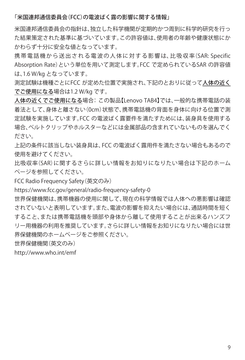#### 「米国連邦通信委員会(FCC)の電波ばく露の影響に関する情報」

米国連邦通信委員会の指針は、独立した科学機関が定期的かつ周到に科学的研究を行っ た結果策定された基準に基づいています。この許容値は、使用者の年齢や健康状態にか かわらず十分に安全な値となっています。

携 帯 電 話 機 か ら 送 出 さ れ る 電 波 の 人 体 に 対 す る 影 響 は、比 吸 収 率(SAR: Specific Absorption Rate)という単位を用いて測定します。FCC で定められているSAR の許容値 は、1.6 W/kg となっています。

測定試験は機種ごとにFCC が定めた位置で実施され、下記のとおりに従って人体の近く でご使用になる場合は1.2 W/kg です。

人体の近くでご使用になる場合:この製品【Lenovo TAB4】では、一般的な携帯電話の装 着法として、身体と離さない(0cm)状態で、携帯電話機の背面を身体に向ける位置で測 定試験を実施しています。FCC の電波ばく露要件を満たすためには、装身具を使用する 場合、ベルトクリップやホルスターなどには金属部品の含まれていないものを選んでく ださい。

上記の条件に該当しない装身具は、FCC の電波ばく露用件を満たさない場合もあるので 使用を避けてください。

比吸収率(SAR)に関するさらに詳しい情報をお知りになりたい場合は下記のホーム ページを参照してください。

FCC Radio Frequency Safety(英文のみ)

https://www.fcc.gov/general/radio-frequency-safety-0

世界保健機関は、携帯機器の使用に関して、現在の科学情報では人体への悪影響は確認 されていないと表明しています。また、電波の影響を抑えたい場合には、通話時間を短く すること、または携帯電話機を頭部や身体から離して使用することが出来るハンズフ リー用機器の利用を推奨しています。さらに詳しい情報をお知りになりたい場合には世 界保健機関のホームページをご参照ください。

世界保健機関(英文のみ)

http://www.who.int/emf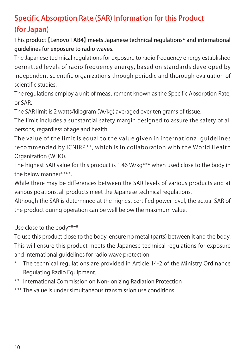# Specific Absorption Rate (SAR) Information for this Product (for Japan)

This product 【Lenovo TAB4】 meets Japanese technical regulations\* and international guidelines for exposure to radio waves.

The Japanese technical regulations for exposure to radio frequency energy established permitted levels of radio frequency energy, based on standards developed by independent scientific organizations through periodic and thorough evaluation of scientific studies.

The regulations employ a unit of measurement known as the Specific Absorption Rate, or SAR.

The SAR limit is 2 watts/kilogram (W/kg) averaged over ten grams of tissue.

The limit includes a substantial safety margin designed to assure the safety of all persons, regardless of age and health.

The value of the limit is equal to the value given in international guidelines recommended by ICNIRP\*\*, which is in collaboration with the World Health Organization (WHO).

The highest SAR value for this product is 1.46 W/kg\*\*\* when used close to the body in the below manner\*\*\*\*.

While there may be differences between the SAR levels of various products and at various positions, all products meet the Japanese technical regulations.

Although the SAR is determined at the highest certified power level, the actual SAR of the product during operation can be well below the maximum value.

### Use close to the body\*\*\*\*

To use this product close to the body, ensure no metal (parts) between it and the body. This will ensure this product meets the Japanese technical regulations for exposure and international guidelines for radio wave protection.

- The technical regulations are provided in Article 14-2 of the Ministry Ordinance Regulating Radio Equipment.
- \*\* International Commission on Non-Ionizing Radiation Protection

\*\*\* The value is under simultaneous transmission use conditions.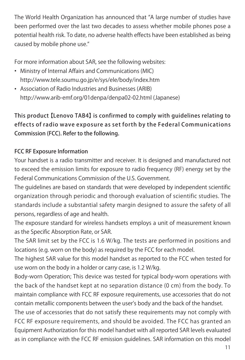The World Health Organization has announced that "A large number of studies have been performed over the last two decades to assess whether mobile phones pose a potential health risk. To date, no adverse health effects have been established as being caused by mobile phone use."

For more information about SAR, see the following websites:

- Ministry of Internal Affairs and Communications (MIC) http://www.tele.soumu.go.jp/e/sys/ele/body/index.htm
- Association of Radio Industries and Businesses (ARIB) http://www.arib-emf.org/01denpa/denpa02-02.html (Japanese)

This product 【Lenovo TAB4】 is confirmed to comply with guidelines relating to effects of radio wave exposure as set forth by the Federal Communications Commission (FCC). Refer to the following.

### FCC RF Exposure Information

Your handset is a radio transmitter and receiver. It is designed and manufactured not to exceed the emission limits for exposure to radio frequency (RF) energy set by the Federal Communications Commission of the U.S. Government.

The guidelines are based on standards that were developed by independent scientific organization through periodic and thorough evaluation of scientific studies. The standards include a substantial safety margin designed to assure the safety of all persons, regardless of age and health.

The exposure standard for wireless handsets employs a unit of measurement known as the Specific Absorption Rate, or SAR.

The SAR limit set by the FCC is 1.6 W/kg. The tests are performed in positions and locations (e.g. worn on the body) as required by the FCC for each model.

The highest SAR value for this model handset as reported to the FCC when tested for use worn on the body in a holder or carry case, is 1.2 W/kg.

Body-worn Operation; This device was tested for typical body-worn operations with the back of the handset kept at no separation distance (0 cm) from the body. To maintain compliance with FCC RF exposure requirements, use accessories that do not contain metallic components between the user's body and the back of the handset.

The use of accessories that do not satisfy these requirements may not comply with FCC RF exposure requirements, and should be avoided. The FCC has granted an Equipment Authorization for this model handset with all reported SAR levels evaluated as in compliance with the FCC RF emission guidelines. SAR information on this model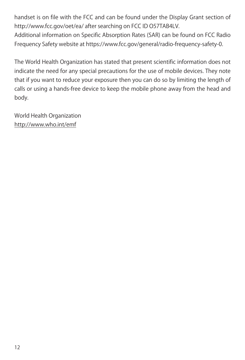handset is on file with the FCC and can be found under the Display Grant section of http://www.fcc.gov/oet/ea/ after searching on FCC ID O57TAB4LV.

Additional information on Specific Absorption Rates (SAR) can be found on FCC Radio Frequency Safety website at https://www.fcc.gov/general/radio-frequency-safety-0.

The World Health Organization has stated that present scientific information does not indicate the need for any special precautions for the use of mobile devices. They note that if you want to reduce your exposure then you can do so by limiting the length of calls or using a hands-free device to keep the mobile phone away from the head and body.

World Health Organization http://www.who.int/emf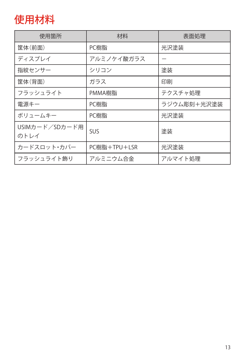# <span id="page-14-1"></span><span id="page-14-0"></span>使用材料

| 使用箇所                   | 材料           | 表面処理        |
|------------------------|--------------|-------------|
| 筐体(前面)                 | PC樹脂         | 光沢塗装        |
| ディスプレイ                 | アルミノケイ酸ガラス   |             |
| 指紋センサー                 | シリコン         | 塗装          |
| 筐体(背面)                 | ガラス          | 印刷          |
| フラッシュライト               | PMMA樹脂       | テクスチャ処理     |
| 雷源キー                   | PC樹脂         | ラジウム彫刻+光沢塗装 |
| ボリュームキー                | PC樹脂         | 光沢塗装        |
| USIMカード/SDカード用<br>のトレイ | SUS          | 途装          |
| カードスロット・カバー            | PC樹脂+TPU+LSR | 光沢塗装        |
| フラッシュライト飾り             | アルミニウム合金     | アルマイト処理     |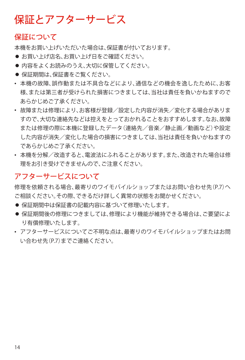# <span id="page-15-0"></span>保証とアフターサービス

### 保証について

本機をお買い上げいただいた場合は、保証書が付いております。

- お買い上げ店名、お買い上げ日をご確認ください。
- 内容をよくお読みのうえ、大切に保管してください。
- 保証期間は、保証書をご覧ください。
- 本機の故障、誤作動または不具合などにより、通信などの機会を逸したために、お客 様、または第三者が受けられた損害につきましては、当社は責任を負いかねますので あらかじめご了承ください。
- 故障または修理により、お客様が登録/設定した内容が消失/変化する場合がありま すので、大切な連絡先などは控えをとっておかれることをおすすめします。なお、故障 または修理の際に本機に登録したデータ(連絡先/音楽/静止画/動画など)や設定 した内容が消失/変化した場合の損害につきましては、当社は責任を負いかねますの であらかじめご了承ください。
- 本機を分解/改造すると、電波法にふれることがあります。また、改造された場合は修 理をお引き受けできませんので、ご注意ください。

## アフターサービスについて

修理を依頼される場合、最寄りのワイモバイルショップまたはお問い合わせ先(P[.7](#page-8-1))へ ご相談ください。その際、できるだけ詳しく異常の状態をお聞かせください。

- 保証期間中は保証書の記載内容に基づいて修理いたします。
- 保証期間後の修理につきましては、修理により機能が維持できる場合は、ご要望によ り有償修理いたします。
- アフターサービスについてご不明な点は、最寄りのワイモバイルショップまたはお問 い合わせ先(P[.7](#page-8-1))までご連絡ください。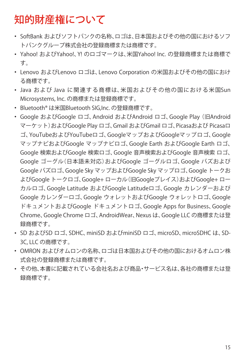# <span id="page-16-0"></span>知的財産権について

- SoftBank およびソフトバンクの名称、ロゴは、日本国およびその他の国におけるソフ トバンクグループ株式会社の登録商標または商標です。
- Yahoo! およびYahoo!、Y! のロゴマークは、米国Yahoo! Inc. の登録商標または商標で す。
- Lenovo およびLenovo ロゴは、Lenovo Corporation の米国およびその他の国におけ る商標です。
- Java および Java に関連する商標 は、米 国 お よ び そ の 他 の 国 に お け る 米 国Sun Microsystems, Inc. の商標または登録商標です。
- Bluetooth® は米国Bluetooth SIG,Inc. の登録商標です。
- Google およびGoogle ロゴ、Android およびAndroid ロゴ、Google Play(旧Android マーケット)およびGoogle Play ロゴ、Gmail およびGmail ロゴ、Picasaおよび Picasaロ ゴ、YouTubeおよびYouTubeロゴ、GoogleマップおよびGoogleマップロゴ、Google マップナビおよびGoogle マップナビロゴ、Google Earth およびGoogle Earth ロゴ、 Google 検索およびGoogle 検索ロゴ、Google 音声検索およびGoogle 音声検索 ロゴ、 Google ゴーグル(日本語未対応)およびGoogle ゴーグルロゴ、Google バズおよび Google バズロゴ、Google Sky マップおよびGoogle Sky マップロゴ、Google トークお よびGoogle トークロゴ、Google+ ローカル(旧Googleプレイス)およびGoogle+ ロー カルロゴ、Google Latitude およびGoogle Latitudeロゴ、Google カレンダーおよび Google カレンダーロゴ、Google ウォレットおよびGoogle ウォレットロゴ、Google ドキュメントおよびGoogle ドキュメントロゴ、Google Apps for Business、Google Chrome、Google Chrome ロゴ、AndroidWear、Nexus は、Google LLC の商標または登 録商標です。
- SD およびSD ロゴ、SDHC、miniSD およびminiSD ロゴ、microSD、microSDHC は、SD-3C, LLC の商標です。
- OMRON およびオムロンの名称、ロゴは日本国およびその他の国におけるオムロン株 式会社の登録商標または商標です。
- その他、本書に記載されている会社名および商品・サービス名は、各社の商標または登 録商標です。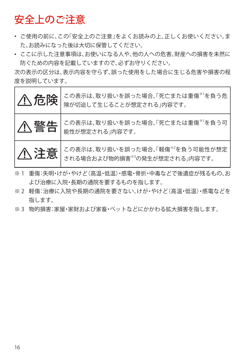# <span id="page-17-0"></span>安全上のご注意

- ご使用の前に、この「安全上のご注意」をよくお読みの上、正しくお使いください。ま た、お読みになった後は大切に保管してください。
- ここに示した注意事項は、お使いになる人や、他の人への危害、財産への損害を未然に 防ぐための内容を記載していますので、必ずお守りください。

次の表示の区分は、表示内容を守らず、誤った使用をした場合に生じる危害や損害の程 度を説明しています。

| 八危険 | この表示は、取り扱いを誤った場合、「死亡または重傷*1を負う危<br>険が切迫して生じることが想定される」内容です。                                                                          |
|-----|-------------------------------------------------------------------------------------------------------------------------------------|
| 八警告 | この表示は、取り扱いを誤った場合、「死亡または重傷 <sup>※1</sup> を負う可<br>能性が想定される」内容です。                                                                      |
|     | この表示は、取り扱いを誤った場合、「軽傷 <sup>**2</sup> を負う可能性が想定<br>  <u>个</u> 注意 この表示は、以ソ攻ツでいっと。<br>  全話 → これる場合および物的損害 <sup>®3</sup> の発生が想定される」内容です。 |

- ※ 1 重傷:失明・けが・やけど(高温・低温)・感電・骨折・中毒などで後遺症が残るもの、お よび治療に入院・長期の通院を要するものを指します。
- ※ 2 軽傷:治療に入院や長期の通院を要さない、けが・やけど(高温・低温)・感電などを 指します。
- ※ 3 物的損害:家屋・家財および家畜・ペットなどにかかわる拡大損害を指します。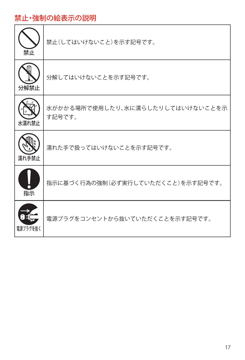# 禁止・強制の絵表示の説明

| 禁止       | 禁止(してはいけないこと)を示す記号です。                      |
|----------|--------------------------------------------|
| 分解禁止     | 分解してはいけないことを示す記号です。                        |
| 水濡れ禁止    | 水がかかる場所で使用したり、水に濡らしたりしてはいけないことを示<br>す記号です。 |
| 濡れ手禁止    | 濡れた手で扱ってはいけないことを示す記号です。                    |
| 指示       | 指示に基づく行為の強制(必ず実行していただくこと)を示す記号です。          |
| 雷源プラグを抜く | 電源プラグをコンセントから抜いていただくことを示す記号です。             |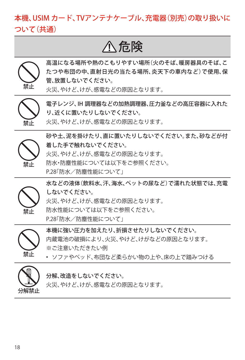# 本機、USIM カード、TVアンテナケーブル、充電器(別売)の取り扱いに ついて(共通)

# 危険



高温になる場所や熱のこもりやすい場所(火のそば、暖房器具のそば、こ たつや布団の中、直射日光の当たる場所、炎天下の車内など)で使用、保 管、放置しないでください。

禁止

電子レンジ、IH 調理器などの加熱調理器、圧力釜などの高圧容器に入れた り、近くに置いたりしないでください。

火災、やけど、けが、感電などの原因となります。

火災、やけど、けが、感電などの原因となります。



禁止

砂や土、泥を掛けたり、直に置いたりしないでください。また、砂などが付 着した手で触れないでください。 火災、やけど、けが、感電などの原因となります。

- 防水・防塵性能については以下をご参照ください。
- P[.28「](#page-29-1)防水/防塵性能について」

水などの液体(飲料水、汗、海水、ペットの尿など)で濡れた状態では、充電 しないでください。

- 火災、やけど、けが、感電などの原因となります。
- 防水性能については以下をご参照ください。

P[.28「](#page-29-1)防水/防塵性能について」



禁止

本機に強い圧力を加えたり、折損させたりしないでください。 内蔵電池の破損により、火災、やけど、けがなどの原因となります。 ※ご注意いただきたい例

• ソファやベッド、布団など柔らかい物の上や、床の上で踏みつける



分解、改造をしないでください。

火災、やけど、けが、感電などの原因となります。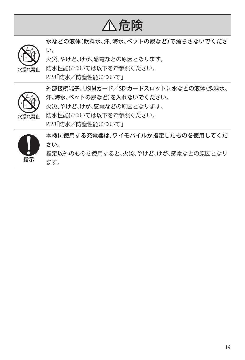# 危険



水などの液体(飲料水、汗、海水、ペットの尿など)で濡らさないでくださ い。 火災、やけど、けが、感電などの原因となります。

防水性能については以下をご参照ください。 P[.28「](#page-29-1)防水/防塵性能について」



外部接続端子、USIMカード/SD カードスロットに水などの液体(飲料水、 汗、海水、ペットの尿など)を入れないでください。 火災、やけど、けが、感電などの原因となります。 防水性能については以下をご参照ください。 P[.28「](#page-29-1)防水/防塵性能について」

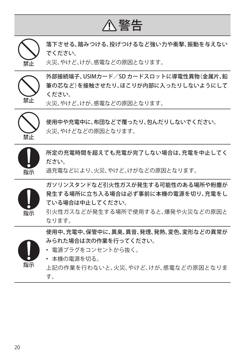

落下させる、踏みつける、投げつけるなど強い力や衝撃、振動を与えない でください。

火災、やけど、けが、感電などの原因となります。



禁止

外部接続端子、USIMカード/SD カードスロットに導電性異物(金属片、鉛 筆の芯など)を接触させたり、ほこりが内部に入ったりしないようにして ください。

火災、やけど、けが、感電などの原因となります。



使用中や充電中に、布団などで覆ったり、包んだりしないでください。 火災、やけどなどの原因となります。



所定の充電時間を超えても充電が完了しない場合は、充電を中止してく ださい。

過充電などにより、火災、やけど、けがなどの原因となります。



ガソリンスタンドなど引火性ガスが発生する可能性のある場所や粉塵が 発生する場所に立ち入る場合は必ず事前に本機の電源を切り、充電をし ている場合は中止してください。

引火性ガスなどが発生する場所で使用すると、爆発や火災などの原因と なります。

使用中、充電中、保管中に、異臭、異音、発煙、発熱、変色、変形などの異常が みられた場合は次の作業を行ってください。

- 指示
- 本機の電源を切る。

• 電源プラグをコンセントから抜く。

上記の作業を行わないと、火災、やけど、けが、感電などの原因となりま す。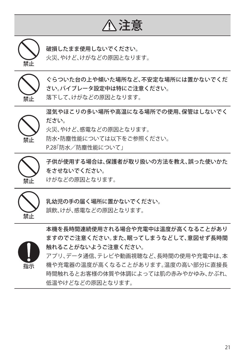# 注意



破損したまま使用しないでください。

火災、やけど、けがなどの原因となります。



ぐらついた台の上や傾いた場所など、不安定な場所には置かないでくだ さい。バイブレータ設定中は特にご注意ください。 落下して、けがなどの原因となります。



湿気やほこりの多い場所や高温になる場所での使用、保管はしないでく ださい。 火災、やけど、感電などの原因となります。

防水・防塵性能については以下をご参照ください。

P[.28「](#page-29-1)防水/防塵性能について」



子供が使用する場合は、保護者が取り扱いの方法を教え、誤った使いかた をさせないでください。

けがなどの原因となります。



乳幼児の手の届く場所に置かないでください。

誤飲、けが、感電などの原因となります。



本機を長時間連続使用される場合や充電中は温度が高くなることがあり ますのでご注意ください。また、眠ってしまうなどして、意図せず長時間 触れることがないようご注意ください。

アプリ、データ通信、テレビや動画視聴など、長時間の使用や充電中は、本 機や充電器の温度が高くなることがあります。温度の高い部分に直接長 時間触れるとお客様の体質や体調によっては肌の赤みやかゆみ、かぶれ、 低温やけどなどの原因となります。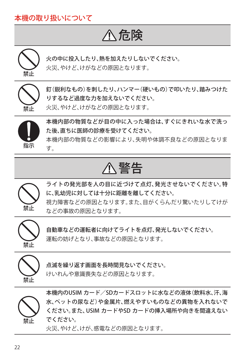# 本機の取り扱いについて

# 危険



火の中に投入したり、熱を加えたりしないでください。 火災、やけど、けがなどの原因となります。



釘(鋭利なもの)を刺したり、ハンマー(硬いもの)で叩いたり、踏みつけた りするなど過度な力を加えないでください。 火災、やけど、けがなどの原因となります。



本機内部の物質などが目の中に入った場合は、すぐにきれいな水で洗っ た後、直ちに医師の診療を受けてください。

本機内部の物質などの影響により、失明や体調不良などの原因となりま す。

# 警告



ライトの発光部を人の目に近づけて点灯、発光させないでください。特 に、乳幼児に対しては十分に距離を離してください。 視力障害などの原因となります。また、目がくらんだり驚いたりしてけが などの事故の原因となります。



自動車などの運転者に向けてライトを点灯、発光しないでください。 運転の妨げとなり、事故などの原因となります。



点滅を繰り返す画面を長時間見ないでください。

けいれんや意識喪失などの原因となります。



本機内のUSIM カード/SDカードスロットに水などの液体(飲料水、汗、海 水、ペットの尿など)や金属片、燃えやすいものなどの異物を入れないで ください。また、USIM カードやSD カードの挿入場所や向きを間違えない でください。

火災、やけど、けが、感電などの原因となります。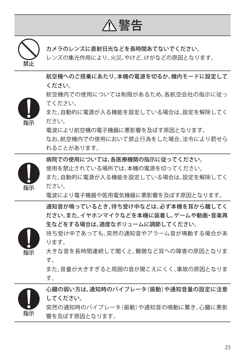警告



カメラのレンズに直射日光などを長時間あてないでください。

レンズの集光作用により、火災、やけど、けがなどの原因となります。

航空機へのご搭乗にあたり、本機の電源を切るか、機内モードに設定して ください。

航空機内での使用については制限があるため、各航空会社の指示に従っ てください。



指示

また、自動的に電源が入る機能を設定している場合は、設定を解除してく ださい。

電波により航空機の電子機器に悪影響を及ぼす原因となります。

なお、航空機内での使用において禁止行為をした場合、法令により罰せら れることがあります。

病院での使用については、各医療機関の指示に従ってください。

使用を禁止されている場所では、本機の電源を切ってください。

また、自動的に電源が入る機能を設定している場合は、設定を解除してく ださい。

電波により電子機器や医用電気機器に悪影響を及ぼす原因となります。

通知音が鳴っているとき、待ち受け中などは、必ず本機を耳から離してく ださい。また、イヤホンマイクなどを本機に装着し、ゲームや動画・音楽再 生などをする場合は、適度なボリュームに調節してください。

待ち受け中であっても、突然の通知音やアラーム音が鳴動する場合があ ります。

指示 大きな音を長時間連続して聞くと、難聴など耳への障害の原因となりま す。

> また、音量が大きすぎると周囲の音が聞こえにくく、事故の原因となりま す。



心臓の弱い方は、通知時のバイブレータ(振動)や通知音量の設定に注意 してください。 突然の通知時のバイブレータ(振動)や通知音の鳴動に驚き、心臓に悪影

響を及ぼす原因となります。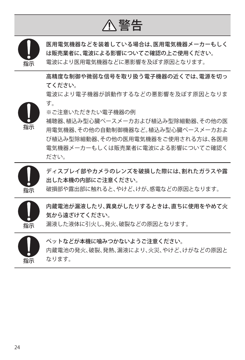警告



医用電気機器などを装着している場合は、医用電気機器メーカーもしく は販売業者に、電波による影響についてご確認の上ご使用ください。 電波により医用電気機器などに悪影響を及ぼす原因となります。

高精度な制御や微弱な信号を取り扱う電子機器の近くでは、電源を切っ てください。

電波により電子機器が誤動作するなどの悪影響を及ぼす原因となりま す。



※ご注意いただきたい電子機器の例

補聴器、植込み型心臓ペースメーカおよび植込み型除細動器、その他の医 用電気機器、その他の自動制御機器など。植込み型心臓ペースメーカおよ び植込み型除細動器、その他の医用電気機器をご使用される方は、各医用 電気機器メーカーもしくは販売業者に電波による影響についてご確認く ださい。



ディスプレイ部やカメラのレンズを破損した際には、割れたガラスや露 出した本機の内部にご注意ください。

破損部や露出部に触れると、やけど、けが、感電などの原因となります。



内蔵電池が漏液したり、異臭がしたりするときは、直ちに使用をやめて火 気から遠ざけてください。

漏液した液体に引火し、発火、破裂などの原因となります。



ペットなどが本機に噛みつかないようご注意ください。 内蔵電池の発火、破裂、発熱、漏液により、火災、やけど、けがなどの原因と なります。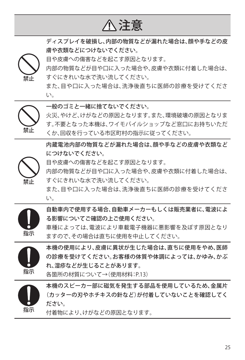注意

ディスプレイを破損し、内部の物質などが漏れた場合は、顔や手などの皮 膚や衣類などにつけないでください。

目や皮膚への傷害などを起こす原因となります。

内部の物質などが目や口に入った場合や、皮膚や衣類に付着した場合は、 すぐにきれいな水で洗い流してください。

また、目や口に入った場合は、洗浄後直ちに医師の診療を受けてくださ い。



禁止

一般のゴミと一緒に捨てないでください。

火災、やけど、けがなどの原因となります。また、環境破壊の原因となりま す。不要となった本機は、ワイモバイルショップなど窓口にお持ちいただ くか、回収を行っている市区町村の指示に従ってください。

内蔵電池内部の物質などが漏れた場合は、顔や手などの皮膚や衣類など につけないでください。



目や皮膚への傷害などを起こす原因となります。

内部の物質などが目や口に入った場合や、皮膚や衣類に付着した場合は、 すぐにきれいな水で洗い流してください。

また、目や口に入った場合は、洗浄後直ちに医師の診療を受けてくださ い。



自動車内で使用する場合、自動車メーカーもしくは販売業者に、電波によ る影響についてご確認の上ご使用ください。

車種によっては、電波により車載電子機器に悪影響を及ぼす原因となり ますので、その場合は直ちに使用を中止してください。



本機の使用により、皮膚に異状が生じた場合は、直ちに使用をやめ、医師 の診療を受けてください。お客様の体質や体調によっては、かゆみ、かぶ れ、湿疹などが生じることがあります。

各箇所の材質について→(使用材料:P[.13](#page-14-1))



本機のスピーカー部に磁気を発生する部品を使用しているため、金属片 (カッターの刃やホチキスの針など)が付着していないことを確認してく ださい。

付着物により、けがなどの原因となります。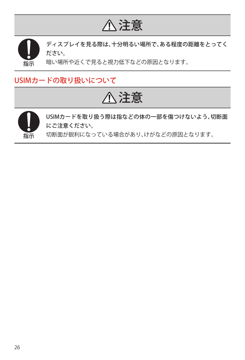# 注意



ディスプレイを見る際は、十分明るい場所で、ある程度の距離をとってく ださい。

暗い場所や近くで見ると視力低下などの原因となります。

# USIMカードの取り扱いについて

# 注意



USIMカードを取り扱う際は指などの体の一部を傷つけないよう、切断面 にご注意ください。

切断面が鋭利になっている場合があり、けがなどの原因となります。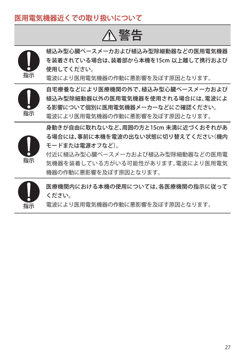## 医用電気機器近くでの取り扱いについて

警告



植込み型心臓ペースメーカおよび植込み型除細動器などの医用電気機器 を装着されている場合は、装着部から本機を15cm 以上離して携行および 使用してください。

電波により医用電気機器の作動に悪影響を及ぼす原因となります。



自宅療養などにより医療機関の外で、植込み型心臓ペースメーカおよび 植込み型除細動器以外の医用電気機器を使用される場合には、電波によ る影響について個別に医用電気機器メーカーなどにご確認ください。 電波により医用電気機器の作動に悪影響を及ぼす原因となります。



身動きが自由に取れないなど、周囲の方と15cm 未満に近づくおそれがあ る場合には、事前に本機を電波の出ない状態に切り替えてください(機内 モードまたは電源オフなど)。

付近に植込み型心臓ペースメーカおよび植込み型除細動器などの医用電 気機器を装着している方がいる可能性があります。電波により医用電気 機器の作動に悪影響を及ぼす原因となります。

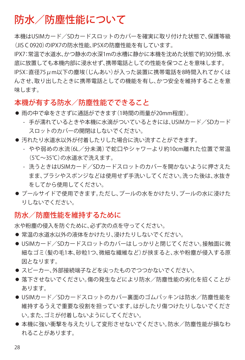# <span id="page-29-1"></span><span id="page-29-0"></span>防水/防塵性能について

本機はUSIMカード/SDカードスロットのカバーを確実に取り付けた状態で、保護等級 (JIS C 0920)のIPX7の防水性能、IP5Xの防塵性能を有しています。

IPX7:常温で水道水、かつ静水の水深1mの水槽に静かに本機を沈めた状態で約30分間、水 底に放置しても本機内部に浸水せず、携帯電話としての性能を保つことを意味します。

IP5X:直径75μm以下の塵埃(じんあい)が入った装置に携帯電話を8時間入れてかくは んさせ、取り出したときに携帯電話としての機能を有し、かつ安全を維持することを意 味します。

### 本機が有する防水/防塵性能でできること

- 雨の中で傘をささずに通話ができます(1時間の雨量が20mm程度)。
	- 手が濡れているときや本機に水滴がついているときには、USIMカード/SDカード スロットのカバーの開閉はしないでください。
- 汚れたり水道水以外が付着したりした場合に洗い流すことができます。
	- やや弱めの水流(6L/分未満)で蛇口やシャワーより約10cm離れた位置で常温 (5℃~35℃)の水道水で洗えます。
	- 洗うときはUSIMカード/SDカードスロットのカバーを開かないように押さえた まま、ブラシやスポンジなどは使用せず手洗いしてください。洗った後は、水抜き をしてから使用してください。
- プールサイドで使用できます。ただし、プールの水をかけたり、プールの水に浸けた りしないでください。

### 防水/防塵性能を維持するために

水や粉塵の侵入を防ぐために、必ず次の点を守ってください。

- 常温の水道水以外の液体をかけたり、浸けたりしないでください。
- USIMカード/SDカードスロットのカバーはしっかりと閉じてください。接触面に微 細なゴミ(髪の毛1本、砂粒1つ、微細な繊維など)が挟まると、水や粉塵が侵入する原 因となります。
- スピーカー、外部接続端子などを尖ったものでつつかないでください。
- 落下させないでください。傷の発生などにより防水/防塵性能の劣化を招くことが あります。
- USIMカード/SDカードスロットのカバー裏面のゴムパッキンは防水/防塵性能を 維持するうえで重要な役割を担っています。はがしたり傷つけたりしないでくださ い。また、ゴミが付着しないようにしてください。
- 本機に強い衝撃を与えたりして変形させないでください。防水/防塵性能が損なわ れることがあります。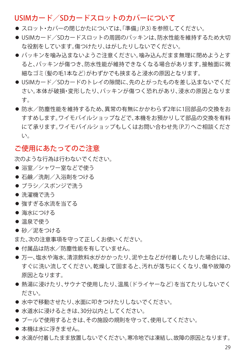### USIMカード/SDカードスロットのカバーについて

- スロット・カバーの閉じかたについては、「準備」(P[3\)](#page-4-1)を参照してください。
- USIMカード/SDカードスロットの周囲のパッキンは、防水性能を維持するため大切 な役割をしています。傷つけたり、はがしたりしないでください。
- パッキンを噛み込まないようご注意ください。噛み込んだまま無理に閉めようとす ると、パッキンが傷つき、防水性能が維持できなくなる場合があります。接触面に微 細なゴミ(髪の毛1本など)がわずかでも挟まると浸水の原因となります。
- USIMカード/SDカードのトレイの隙間に、先のとがったものを差し込まないでくだ さい。本体が破損・変形したり、パッキンが傷つく恐れがあり、浸水の原因となりま す。
- 防水/防塵性能を維持するため、異常の有無にかかわらず2年に1回部品の交換をお すすめします。ワイモバイルショップなどで、本機をお預かりして部品の交換を有料 にて承ります。ワイモバイルショップもしくはお問い合わせ先(P.[7\)](#page-8-1)へご相談くださ い。

### ご使用にあたってのご注意

次のような行為は行わないでください。

- 浴室/シャワー室などで使う
- 石鹸/洗剤/入浴剤をつける
- ブラシ/スポンジで洗う
- 洗濯機で洗う
- 強すぎる水流を当てる
- 海水につける
- 温泉で使う
- 砂/泥をつける

また、次の注意事項を守って正しくお使いください。

- 付属品は防水/防塵性能を有していません。
- 万一、塩水や海水、清涼飲料水がかかったり、泥や土などが付着したりした場合には、 すぐに洗い流してください。乾燥して固まると、汚れが落ちにくくなり、傷や故障の 原因となります。
- 熱湯に浸けたり、サウナで使用したり、温風(ドライヤーなど)を当てたりしないでく ださい。
- 水中で移動させたり、水面に叩きつけたりしないでください。
- 水道水に浸けるときは、30分以内としてください。
- プールで使用するときは、その施設の規則を守って、使用してください。
- 本機は水に浮きません。
- 水滴が付着したまま放置しないでください。寒冷地では凍結し、故障の原因となります。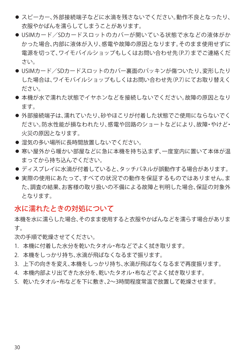- スピーカー、外部接続端子などに水滴を残さないでください。動作不良となったり、 衣服やかばんを濡らしてしまうことがあります。
- USIMカード/SDカードスロットのカバーが開いている状態で水などの液体がか かった場合、内部に液体が入り、感電や故障の原因となります。そのまま使用せずに 雷源を切って、ワイモバイルショップもしくはお問い合わせ先(P[7\)](#page-8-1)までご連絡くだ さい。
- USIMカード/SDカードスロットのカバー裏面のパッキンが傷ついたり、変形したり した場合は、ワイモバイルショップもしくはお問い合わせ先(P[.7](#page-8-1))にてお取り替えく ださい。
- 本機が水で濡れた状態でイヤホンなどを接続しないでください。故障の原因となり ます。
- 外部接続端子は、濡れていたり、砂やほこりが付着した状態でご使用にならないでく ださい。防水性能が損なわれたり、感電や回路のショートなどにより、故障・やけど・ 火災の原因となります。
- 湿気の多い場所に長時間放置しないでください。
- 寒い屋外から暖かい部屋などに急に本機を持ち込まず、一度室内に置いて本体が温 まってから持ち込んでください。
- ディスプレイに水滴が付着していると、タッチパネルが誤動作する場合があります。
- 実際の使用にあたって、すべての状況での動作を保証するものではありません。ま た、調査の結果、お客様の取り扱いの不備による故障と判明した場合、保証の対象外 となります。

### 水に濡れたときの対処について

本機を水に濡らした場合、そのまま使用すると衣服やかばんなどを濡らす場合がありま す。

次の手順で乾燥させてください。

- 1. 本機に付着した水分を乾いたタオル・布などでよく拭き取ります。
- 2. 本機をしっかり持ち、水滴が飛ばなくなるまで振ります。
- 3. 上下の向きを変え、本機をしっかり持ち、水滴が飛ばなくなるまで再度振ります。
- 4. 本機内部より出てきた水分を、乾いたタオル・布などでよく拭き取ります。
- 5. 乾いたタオル・布などを下に敷き、2~3時間程度常温で放置して乾燥させます。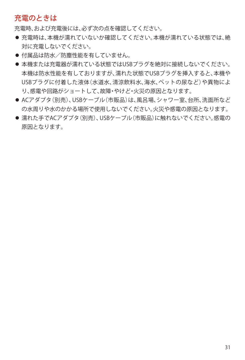## 充電のときは

充電時、および充電後には、必ず次の点を確認してください。

- 充電時は、本機が濡れていないか確認してください。本機が濡れている状態では、絶 対に充電しないでください。
- 付属品は防水/防塵性能を有していません。
- 本機または充電器が濡れている状態ではUSBプラグを絶対に接続しないでください。 本機は防水性能を有しておりますが、濡れた状態でUSBプラグを挿入すると、本機や USBプラグに付着した液体(水道水、清涼飲料水、海水、ペットの尿など)や異物によ り、感電や回路がショートして、故障・やけど・火災の原因となります。
- ACアダプタ(別売)、USBケーブル(市販品)は、風呂場、シャワー室、台所、洗面所など の水周りや水のかかる場所で使用しないでください。火災や感電の原因となります。
- 濡れた手でACアダプタ(別売)、USBケーブル(市販品)に触れないでください。感電の 原因となります。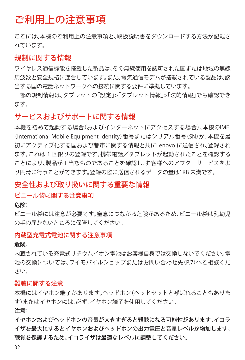# <span id="page-33-0"></span>ご利用上の注意事項

ここには、本機のご利用上の注意事項と、取扱説明書をダウンロードする方法が記載さ れています。

### 規制に関する情報

ワイヤレス通信機能を搭載した製品は、その無線使用を認可された国または地域の無線 周波数と安全規格に適合しています。また、電気通信モデムが搭載されている製品は、該 当する国の電話ネットワークへの接続に関する要件に準拠しています。

一部の規制情報は、タブレットの「設定」>「タブレット情報」>「法的情報」でも確認でき ます。

### サービスおよびサポートに関する情報

本機を初めて起動する場合(およびインターネットにアクセスする場合)、本機のIMEI (International Mobile Equipment Identity)番号またはシリアル番号(SN)が、本機を最 初にアクティブ化する国および都市に関する情報と共にLenovo に送信され、登録され ます。これは 1 回限りの登録です。携帯電話/タブレットが起動されたことを確認する ことにより、製品が正当なものであることを確認し、お客様へのアフターサービスをよ り円滑に行うことができます。登録の際に送信されるデータの量は1KB 未満です。

### 安全性および取り扱いに関する重要な情報

#### ビニール袋に関する注意事項

危険:

ビニール袋には注意が必要です。窒息につながる危険があるため、ビニール袋は乳幼児 の手の届かないところに保管してください。

#### 内蔵型充電式電池に関する注意事項

危険:

内蔵されている充電式リチウムイオン電池はお客様自身では交換しないでください。電 池の交換については、ワイモバイルショップまたはお問い合わせ先(P[.7](#page-8-1))へご相談くだ さい。

#### 難聴に関する注意

本機にはイヤホン端子があります。ヘッドホン(ヘッドセットと呼ばれることもありま す)またはイヤホンには、必ず、イヤホン端子を使用してください。

注意:

イヤホンおよびヘッドホンの音量が大きすぎると難聴になる可能性があります。イコラ イザを最大にするとイヤホンおよびヘッドホンの出力電圧と音量レベルが増加します。 聴覚を保護するため、イコライザは最適なレベルに調整してください。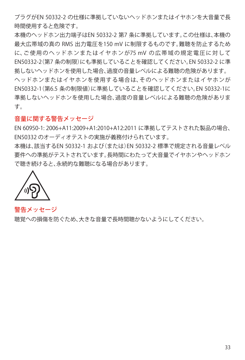プラグがEN 50332-2 の仕様に準拠していないヘッドホンまたはイヤホンを大音量で長 時間使用すると危険です。

本機のヘッドホン出力端子はEN 50332-2 第7 条に準拠しています。この仕様は、本機の 最大広帯域の真の RMS 出力電圧を150 mV に制限するものです。難聴を防止するため に、ご 使 用 の ヘ ッド ホ ン ま た は イ ヤ ホ ン が75 mV の広帯域の規定電圧に対して EN50332-2(第7 条の制限)にも準拠していることを確認してください。EN 50332-2 に準 拠しないヘッドホンを使用した場合、過度の音量レベルによる難聴の危険があります。 ヘッドホンまたはイヤホンを使用する場合は、そのヘッドホンまたはイヤホンが EN50332-1(第6.5 条の制限値)に準拠していることを確認してください。EN 50332-1に 準拠しないヘッドホンを使用した場合、過度の音量レベルによる難聴の危険がありま す。

#### 音量に関する警告メッセージ

EN 60950-1: 2006+A11:2009+A1:2010+A12:2011 に準拠してテストされた製品の場合、 EN50332 のオーディオテストの実施が義務付けられています。

本機は、該当するEN 50332-1 および(または)EN 50332-2 標準で規定される音量レベル 要件への準拠がテストされています。長時間にわたって大音量でイヤホンやヘッドホン で聴き続けると、永続的な難聴になる場合があります。



警告メッセージ

聴覚への損傷を防ぐため、大きな音量で長時間聴かないようにしてください。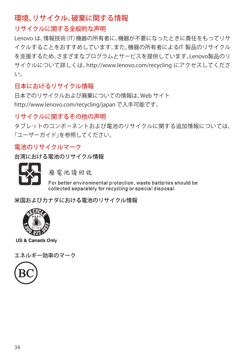## 環境、リサイクル、破棄に関する情報

### リサイクルに関する全般的な声明

Lenovo は、情報技術(IT)機器の所有者に、機器が不要になったときに責任をもってリサ イクルすることをおすすめしています。また、機器の所有者によるIT 製品のリサイクル を支援するため、さまざまなプログラムとサービスを提供しています。Lenovo製品のリ サイクルについて詳しくは、http://www.lenovo.com/recycling にアクセスしてくださ い。

### 日本におけるリサイクル情報

日本でのリサイクルおよび廃棄についての情報は、Web サイト http://www.lenovo.com/recycling/japan で入手可能です。

### リサイクルに関するその他の声明

タブレットのコンポーネントおよび電池のリサイクルに関する追加情報については、 「ユーザーガイド」を参照してください。

### 電池のリサイクルマーク

台湾における電池のリサイクル情報



廢電池請回收

For better environmental protection, waste batteries should be collected separately for recycling or special disposal.

米国およびカナダにおける電池のリサイクル情報



US & Canada Only

エネルギー効率のマーク

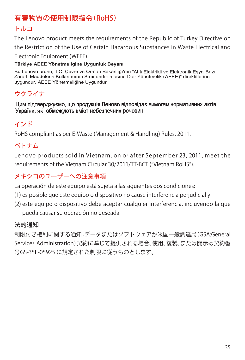# 有害物質の使用制限指令(RoHS)

## トルコ

The Lenovo product meets the requirements of the Republic of Turkey Directive on the Restriction of the Use of Certain Hazardous Substances in Waste Electrical and Electronic Equipment (WEEE).

Türkiye AEEE Yönetmeliğine Uygunluk Beyanı

Bu Lenovo ürünü. T.C. Cevre ve Orman Bakanlığı'nın "Atık Flektrikli ve Flektronik Esya Bazı Zararlı Maddelerin Kullanımının Sınırlandırılmasına Dair Yönetmelik (AEEE)" direktiflerine uvgundur. AEEE Yönetmeliğine Uvgundur.

# ウクライナ

Цим підтверджуємо, що продукція Леново відповідає вимогам нормативних актів України, які обмежують вміст небезпечних речовин

## インド

RoHS compliant as per E-Waste (Management & Handling) Rules, 2011.

## ベトナム

Lenovo products sold in Vietnam, on or after September 23, 2011, meet the requirements of the Vietnam Circular 30/2011/TT-BCT ("Vietnam RoHS").

## メキシコのユーザーへの注意事項

La operación de este equipo está sujeta a las siguientes dos condiciones:

- (1) es posible que este equipo o dispositivo no cause interferencia perjudicial y
- (2) este equipo o dispositivo debe aceptar cualquier interferencia, incluyendo la que pueda causar su operación no deseada.

### 法的通知

制限付き権利に関する通知:データまたはソフトウェアが米国一般調達局(GSA:General Services Administration)契約に準じて提供される場合、使用、複製、または開示は契約番 号GS-35F-05925 に規定された制限に従うものとします。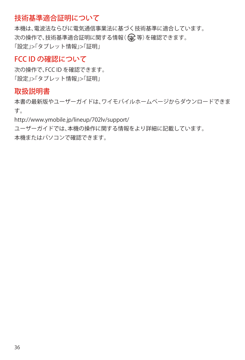## 技術基準適合証明について

本機は、電波法ならびに電気通信事業法に基づく技術基準に適合しています。 次の操作で、技術基準適合証明に関する情報((全)等)を確認できます。 「設定」>「タブレット情報」>「証明」

## FCC ID の確認について

次の操作で、FCC ID を確認できます。 「設定」>「タブレット情報」>「証明」

### 取扱説明書

本書の最新版やユーザーガイドは、ワイモバイルホームページからダウンロードできま す。

http://www.ymobile.jp/lineup/702lv/support/

ユーザーガイドでは、本機の操作に関する情報をより詳細に記載しています。 本機またはパソコンで確認できます。